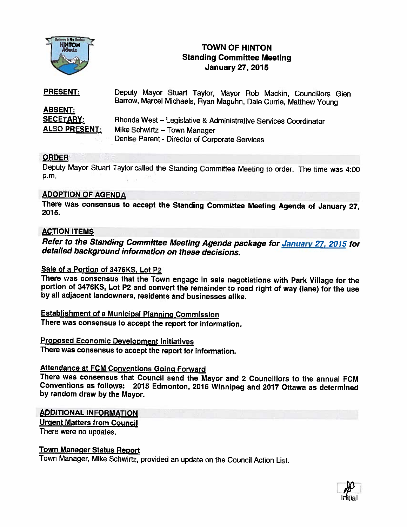

# TOWN OF HINTON Standing Committee Meeting January 27, 2015

| <b>PRESENT:</b>      | Mayor Stuart Taylor, Mayor Rob Mackin, Councillors Glen<br>Deputy. |
|----------------------|--------------------------------------------------------------------|
|                      | Barrow, Marcel Michaels, Ryan Maguhn, Dale Currie, Matthew Young   |
| <b>ABSENT:</b>       |                                                                    |
| <b>SECETARY:</b>     | Rhonda West - Legislative & Administrative Services Coordinator    |
| <b>ALSO PRESENT:</b> | Mike Schwirtz - Town Manager                                       |
|                      | Denise Parent - Director of Corporate Services                     |

## **ORDER**

Deputy Mayor Stuart Taylor called the Standing Committee Meeting to order. The time was 4:00 p.m.

### ADOPTION OF AGENDA

There was consensus to accept the Standing Committee Meeting Agenda of January 27,<br>2015.

### **ACTION ITEMS**

Refer to the Standing Committee Meeting Agenda package for January 27, 2015 for<br>detailed background information on these decisions.

<u>Sale of a Portion of 3476KS, Lot P2</u><br>There was consensus that the Town engage in sale negotiations with Park Village for the portion of 3476KS, Lot P2 and convert the remainder to road right of way (lane) for the use<br>by all adjacent landowners, residents and businesses alike.

Establishment of <sup>a</sup> Municipal Planning Commission There was consensus to accept the report for information.

Proposed Economic Development Initiatives There was consensus to accept the report for information.

Attendance at FCM Conventions Going Forward<br>There was consensus that Council send the Mayor and 2 Councillors to the annual FCM Conventions as follows: 2015 Edmonton, 2016 Winnipeg and 2017 Ottawa as determined by random draw by the Mayor.

### ADDITIONAL INFORMATION

Urgent Matters from Council

There were no updates.

### Town Manager Status Report

Town Manager. Mike Schwirtz, provided an update on the Council Action List.